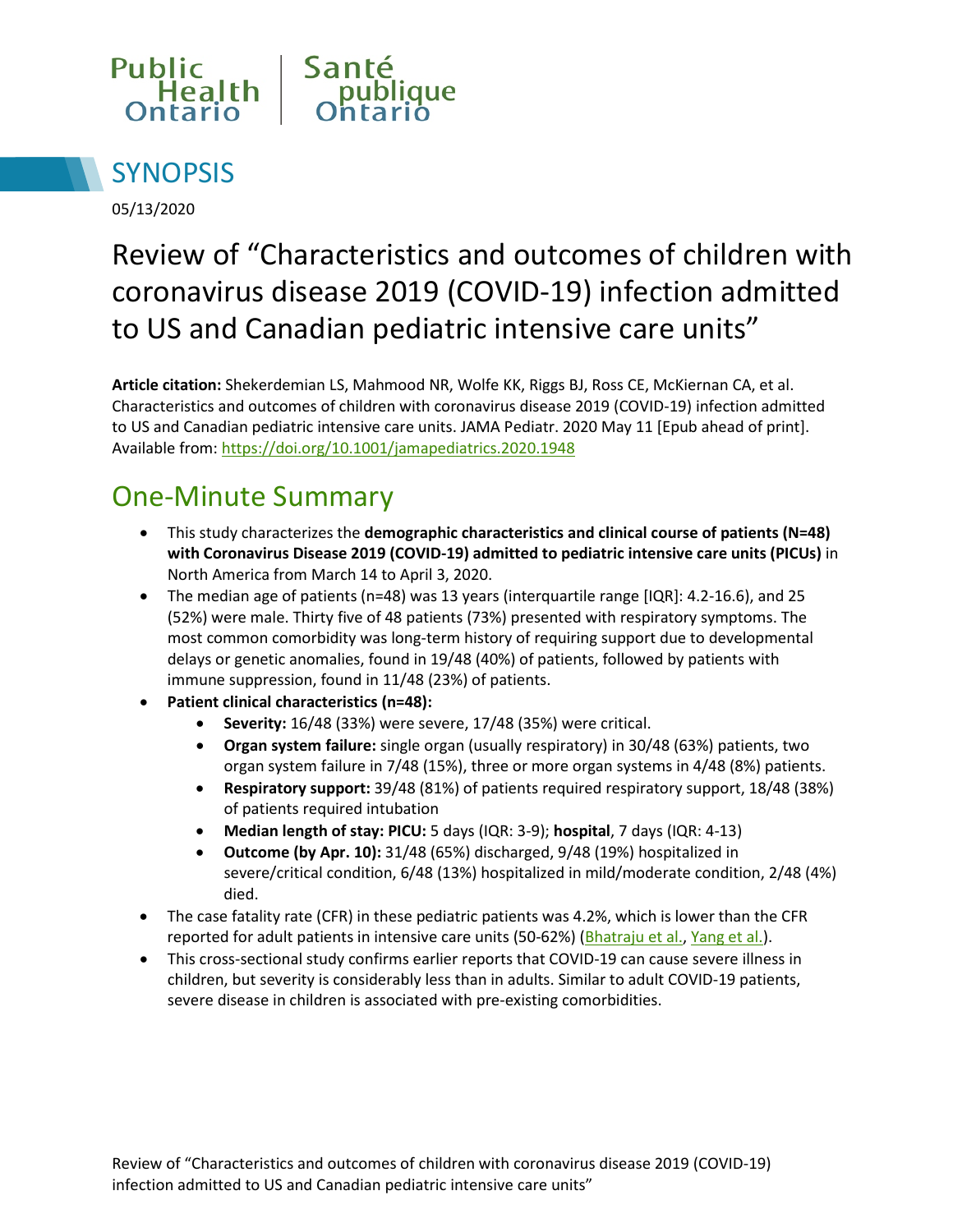



05/13/2020

# Review of "Characteristics and outcomes of children with coronavirus disease 2019 (COVID-19) infection admitted to US and Canadian pediatric intensive care units"

**Article citation:** Shekerdemian LS, Mahmood NR, Wolfe KK, Riggs BJ, Ross CE, McKiernan CA, et al. Characteristics and outcomes of children with coronavirus disease 2019 (COVID-19) infection admitted to US and Canadian pediatric intensive care units. JAMA Pediatr. 2020 May 11 [Epub ahead of print]. Available from:<https://doi.org/10.1001/jamapediatrics.2020.1948>

## One-Minute Summary

- This study characterizes the **demographic characteristics and clinical course of patients (N=48) with Coronavirus Disease 2019 (COVID-19) admitted to pediatric intensive care units (PICUs)** in North America from March 14 to April 3, 2020.
- The median age of patients (n=48) was 13 years (interquartile range [IQR]: 4.2-16.6), and 25 (52%) were male. Thirty five of 48 patients (73%) presented with respiratory symptoms. The most common comorbidity was long-term history of requiring support due to developmental delays or genetic anomalies, found in 19/48 (40%) of patients, followed by patients with immune suppression, found in 11/48 (23%) of patients.
- **Patient clinical characteristics (n=48):** 
	- **Severity:** 16/48 (33%) were severe, 17/48 (35%) were critical.
	- **Organ system failure:** single organ (usually respiratory) in 30/48 (63%) patients, two organ system failure in 7/48 (15%), three or more organ systems in 4/48 (8%) patients.
	- **Respiratory support:** 39/48 (81%) of patients required respiratory support, 18/48 (38%) of patients required intubation
	- **Median length of stay: PICU:** 5 days (IQR: 3-9); **hospital**, 7 days (IQR: 4-13)
	- **Outcome (by Apr. 10):** 31/48 (65%) discharged, 9/48 (19%) hospitalized in severe/critical condition, 6/48 (13%) hospitalized in mild/moderate condition, 2/48 (4%) died.
- The case fatality rate (CFR) in these pediatric patients was 4.2%, which is lower than the CFR reported for adult patients in intensive care units (50-62%) [\(Bhatraju et al.,](https://www.nejm.org/doi/10.1056/NEJMoa2004500) [Yang et al.\)](https://www.sciencedirect.com/science/article/pii/S2213260020300795?via%3Dihub).
- This cross-sectional study confirms earlier reports that COVID-19 can cause severe illness in children, but severity is considerably less than in adults. Similar to adult COVID-19 patients, severe disease in children is associated with pre-existing comorbidities.